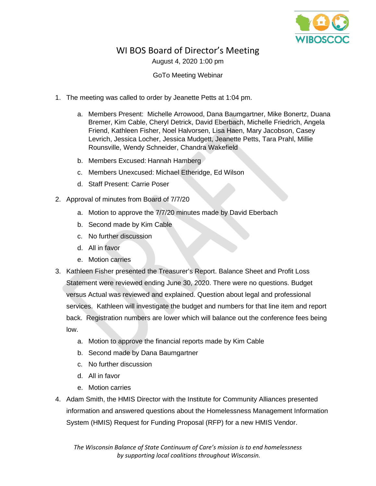

## WI BOS Board of Director's Meeting

August 4, 2020 1:00 pm

GoTo Meeting Webinar

- 1. The meeting was called to order by Jeanette Petts at 1:04 pm.
	- a. Members Present: Michelle Arrowood, Dana Baumgartner, Mike Bonertz, Duana Bremer, Kim Cable, Cheryl Detrick, David Eberbach, Michelle Friedrich, Angela Friend, Kathleen Fisher, Noel Halvorsen, Lisa Haen, Mary Jacobson, Casey Levrich, Jessica Locher, Jessica Mudgett, Jeanette Petts, Tara Prahl, Millie Rounsville, Wendy Schneider, Chandra Wakefield
	- b. Members Excused: Hannah Hamberg
	- c. Members Unexcused: Michael Etheridge, Ed Wilson
	- d. Staff Present: Carrie Poser
- 2. Approval of minutes from Board of 7/7/20
	- a. Motion to approve the 7/7/20 minutes made by David Eberbach
	- b. Second made by Kim Cable
	- c. No further discussion
	- d. All in favor
	- e. Motion carries
- 3. Kathleen Fisher presented the Treasurer's Report. Balance Sheet and Profit Loss Statement were reviewed ending June 30, 2020. There were no questions. Budget versus Actual was reviewed and explained. Question about legal and professional services. Kathleen will investigate the budget and numbers for that line item and report back. Registration numbers are lower which will balance out the conference fees being low.
	- a. Motion to approve the financial reports made by Kim Cable
	- b. Second made by Dana Baumgartner
	- c. No further discussion
	- d. All in favor
	- e. Motion carries
- 4. Adam Smith, the HMIS Director with the Institute for Community Alliances presented information and answered questions about the Homelessness Management Information System (HMIS) Request for Funding Proposal (RFP) for a new HMIS Vendor.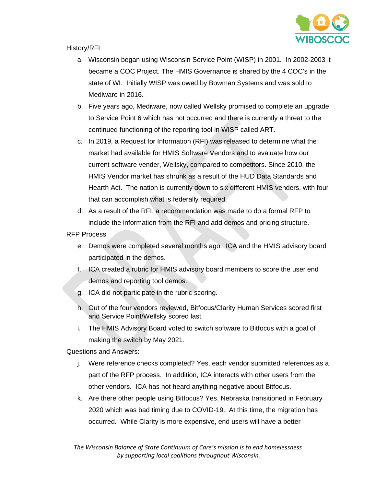

## History/RFI

- a. Wisconsin began using Wisconsin Service Point (WISP) in 2001. In 2002-2003 it became a COC Project. The HMIS Governance is shared by the 4 COC's in the state of WI. Initially WISP was owed by Bowman Systems and was sold to Mediware in 2016.
- b. Five years ago, Mediware, now called Wellsky promised to complete an upgrade to Service Point 6 which has not occurred and there is currently a threat to the continued functioning of the reporting tool in WISP called ART.
- c. In 2019, a Request for Information (RFI) was released to determine what the market had available for HMIS Software Vendors and to evaluate how our current software vender, Wellsky, compared to competitors. Since 2010, the HMIS Vendor market has shrunk as a result of the HUD Data Standards and Hearth Act. The nation is currently down to six different HMIS venders, with four that can accomplish what is federally required.
- d. As a result of the RFI, a recommendation was made to do a formal RFP to include the information from the RFI and add demos and pricing structure.
- RFP Process
	- e. Demos were completed several months ago. ICA and the HMIS advisory board participated in the demos.
	- f. ICA created a rubric for HMIS advisory board members to score the user end demos and reporting tool demos.
	- g. ICA did not participate in the rubric scoring.
	- h. Out of the four vendors reviewed, Bitfocus/Clarity Human Services scored first and Service Point/Wellsky scored last.
	- i. The HMIS Advisory Board voted to switch software to Bitfocus with a goal of making the switch by May 2021.

Questions and Answers:

- j. Were reference checks completed? Yes, each vendor submitted references as a part of the RFP process. In addition, ICA interacts with other users from the other vendors. ICA has not heard anything negative about Bitfocus.
- k. Are there other people using Bitfocus? Yes, Nebraska transitioned in February 2020 which was bad timing due to COVID-19. At this time, the migration has occurred. While Clarity is more expensive, end users will have a better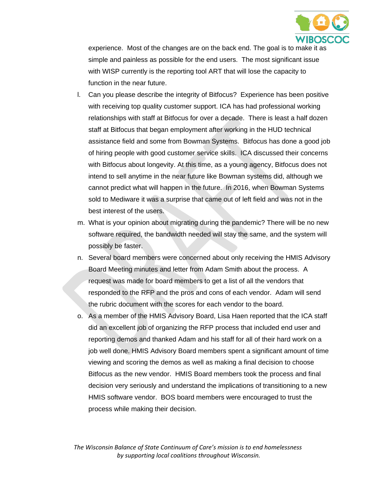

experience. Most of the changes are on the back end. The goal is to make it as simple and painless as possible for the end users. The most significant issue with WISP currently is the reporting tool ART that will lose the capacity to function in the near future.

- l. Can you please describe the integrity of Bitfocus? Experience has been positive with receiving top quality customer support. ICA has had professional working relationships with staff at Bitfocus for over a decade. There is least a half dozen staff at Bitfocus that began employment after working in the HUD technical assistance field and some from Bowman Systems. Bitfocus has done a good job of hiring people with good customer service skills. ICA discussed their concerns with Bitfocus about longevity. At this time, as a young agency, Bitfocus does not intend to sell anytime in the near future like Bowman systems did, although we cannot predict what will happen in the future. In 2016, when Bowman Systems sold to Mediware it was a surprise that came out of left field and was not in the best interest of the users.
- m. What is your opinion about migrating during the pandemic? There will be no new software required, the bandwidth needed will stay the same, and the system will possibly be faster.
- n. Several board members were concerned about only receiving the HMIS Advisory Board Meeting minutes and letter from Adam Smith about the process. A request was made for board members to get a list of all the vendors that responded to the RFP and the pros and cons of each vendor. Adam will send the rubric document with the scores for each vendor to the board.
- o. As a member of the HMIS Advisory Board, Lisa Haen reported that the ICA staff did an excellent job of organizing the RFP process that included end user and reporting demos and thanked Adam and his staff for all of their hard work on a job well done. HMIS Advisory Board members spent a significant amount of time viewing and scoring the demos as well as making a final decision to choose Bitfocus as the new vendor. HMIS Board members took the process and final decision very seriously and understand the implications of transitioning to a new HMIS software vendor. BOS board members were encouraged to trust the process while making their decision.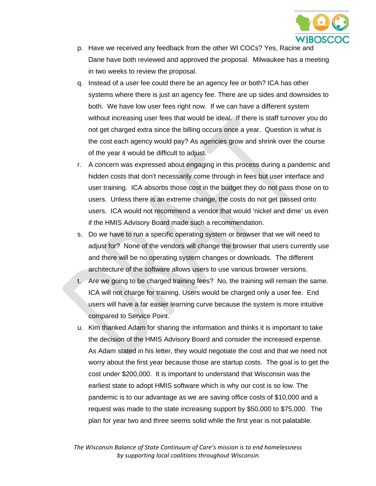

- p. Have we received any feedback from the other WI COCs? Yes, Racine and Dane have both reviewed and approved the proposal. Milwaukee has a meeting in two weeks to review the proposal.
- q. Instead of a user fee could there be an agency fee or both? ICA has other systems where there is just an agency fee. There are up sides and downsides to both. We have low user fees right now. If we can have a different system without increasing user fees that would be ideal. If there is staff turnover you do not get charged extra since the billing occurs once a year. Question is what is the cost each agency would pay? As agencies grow and shrink over the course of the year it would be difficult to adjust.
- r. A concern was expressed about engaging in this process during a pandemic and hidden costs that don't necessarily come through in fees but user interface and user training. ICA absorbs those cost in the budget they do not pass those on to users. Unless there is an extreme change, the costs do not get passed onto users. ICA would not recommend a vendor that would 'nickel and dime' us even if the HMIS Advisory Board made such a recommendation.
- s. Do we have to run a specific operating system or browser that we will need to adjust for? None of the vendors will change the browser that users currently use and there will be no operating system changes or downloads. The different architecture of the software allows users to use various browser versions.
- t. Are we going to be charged training fees? No, the training will remain the same. ICA will not charge for training. Users would be charged only a user fee. End users will have a far easier learning curve because the system is more intuitive compared to Service Point.
- u. Kim thanked Adam for sharing the information and thinks it is important to take the decision of the HMIS Advisory Board and consider the increased expense. As Adam stated in his letter, they would negotiate the cost and that we need not worry about the first year because those are startup costs. The goal is to get the cost under \$200,000. It is important to understand that Wisconsin was the earliest state to adopt HMIS software which is why our cost is so low. The pandemic is to our advantage as we are saving office costs of \$10,000 and a request was made to the state increasing support by \$50,000 to \$75,000. The plan for year two and three seems solid while the first year is not palatable.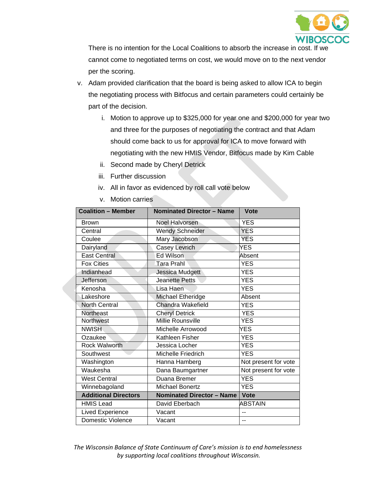

There is no intention for the Local Coalitions to absorb the increase in cost. If we cannot come to negotiated terms on cost, we would move on to the next vendor per the scoring.

- v. Adam provided clarification that the board is being asked to allow ICA to begin the negotiating process with Bitfocus and certain parameters could certainly be part of the decision.
	- i. Motion to approve up to \$325,000 for year one and \$200,000 for year two and three for the purposes of negotiating the contract and that Adam should come back to us for approval for ICA to move forward with negotiating with the new HMIS Vendor, Bitfocus made by Kim Cable
	- ii. Second made by Cheryl Detrick
	- iii. Further discussion
	- iv. All in favor as evidenced by roll call vote below
	- v. Motion carries

| <b>Coalition - Member</b>   | <b>Nominated Director - Name</b> | <b>Vote</b>          |
|-----------------------------|----------------------------------|----------------------|
| <b>Brown</b>                | Noel Halvorsen                   | <b>YES</b>           |
| Central                     | <b>Wendy Schneider</b>           | <b>YES</b>           |
| Coulee                      | Mary Jacobson                    | <b>YES</b>           |
| Dairyland                   | <b>Casey Levrich</b>             | <b>YES</b>           |
| <b>East Central</b>         | <b>Ed Wilson</b>                 | Absent               |
| <b>Fox Cities</b>           | Tara Prahl                       | <b>YES</b>           |
| Indianhead                  | Jessica Mudgett                  | <b>YES</b>           |
| Jefferson                   | <b>Jeanette Petts</b>            | <b>YES</b>           |
| Kenosha                     | Lisa Haen                        | <b>YES</b>           |
| Lakeshore                   | Michael Etheridge                | Absent               |
| <b>North Central</b>        | Chandra Wakefield                | <b>YES</b>           |
| <b>Northeast</b>            | <b>Cheryl Detrick</b>            | <b>YES</b>           |
| <b>Northwest</b>            | Millie Rounsville                | <b>YES</b>           |
| <b>NWISH</b>                | Michelle Arrowood                | <b>YES</b>           |
| Ozaukee                     | Kathleen Fisher                  | <b>YES</b>           |
| <b>Rock Walworth</b>        | Jessica Locher                   | <b>YES</b>           |
| Southwest                   | Michelle Friedrich               | <b>YES</b>           |
| Washington                  | Hanna Hamberg                    | Not present for vote |
| Waukesha                    | Dana Baumgartner                 | Not present for vote |
| <b>West Central</b>         | Duana Bremer                     | <b>YES</b>           |
| Winnebagoland               | <b>Michael Bonertz</b>           | <b>YES</b>           |
| <b>Additional Directors</b> | <b>Nominated Director - Name</b> | <b>Vote</b>          |
| <b>HMIS Lead</b>            | David Eberbach                   | <b>ABSTAIN</b>       |
| <b>Lived Experience</b>     | Vacant                           | -−                   |
| Domestic Violence           | Vacant                           | $-$                  |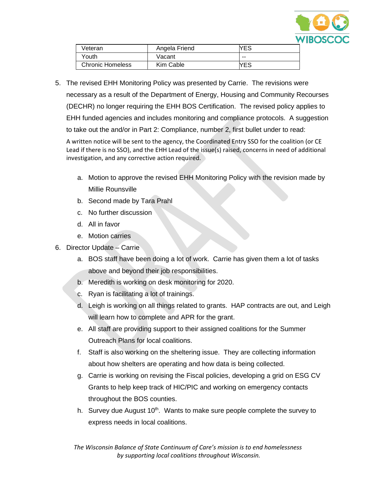

| Veteran                 | Angela Friend | YES |
|-------------------------|---------------|-----|
| Youth                   | Vacant        | --  |
| <b>Chronic Homeless</b> | Kim Cable     | YES |

5. The revised EHH Monitoring Policy was presented by Carrie. The revisions were necessary as a result of the Department of Energy, Housing and Community Recourses (DECHR) no longer requiring the EHH BOS Certification. The revised policy applies to EHH funded agencies and includes monitoring and compliance protocols. A suggestion to take out the and/or in Part 2: Compliance, number 2, first bullet under to read:

A written notice will be sent to the agency, the Coordinated Entry SSO for the coalition (or CE Lead if there is no SSO), and the EHH Lead of the issue(s) raised, concerns in need of additional investigation, and any corrective action required.

- a. Motion to approve the revised EHH Monitoring Policy with the revision made by Millie Rounsville
- b. Second made by Tara Prahl
- c. No further discussion
- d. All in favor
- e. Motion carries
- 6. Director Update Carrie
	- a. BOS staff have been doing a lot of work. Carrie has given them a lot of tasks above and beyond their job responsibilities.
	- b. Meredith is working on desk monitoring for 2020.
	- c. Ryan is facilitating a lot of trainings.
	- d. Leigh is working on all things related to grants. HAP contracts are out, and Leigh will learn how to complete and APR for the grant.
	- e. All staff are providing support to their assigned coalitions for the Summer Outreach Plans for local coalitions.
	- f. Staff is also working on the sheltering issue. They are collecting information about how shelters are operating and how data is being collected.
	- g. Carrie is working on revising the Fiscal policies, developing a grid on ESG CV Grants to help keep track of HIC/PIC and working on emergency contacts throughout the BOS counties.
	- h. Survey due August 10<sup>th</sup>. Wants to make sure people complete the survey to express needs in local coalitions.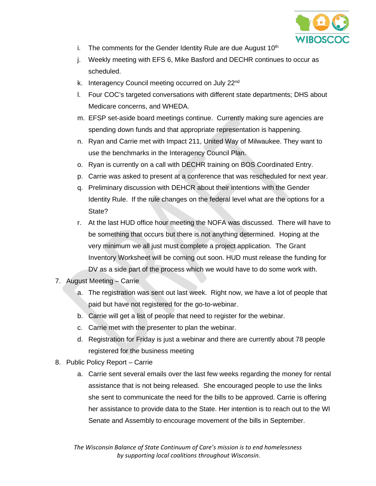

- i. The comments for the Gender Identity Rule are due August  $10<sup>th</sup>$
- j. Weekly meeting with EFS 6, Mike Basford and DECHR continues to occur as scheduled.
- k. Interagency Council meeting occurred on July 22<sup>nd</sup>
- l. Four COC's targeted conversations with different state departments; DHS about Medicare concerns, and WHEDA.
- m. EFSP set-aside board meetings continue. Currently making sure agencies are spending down funds and that appropriate representation is happening.
- n. Ryan and Carrie met with Impact 211, United Way of Milwaukee. They want to use the benchmarks in the Interagency Council Plan.
- o. Ryan is currently on a call with DECHR training on BOS Coordinated Entry.
- p. Carrie was asked to present at a conference that was rescheduled for next year.
- q. Preliminary discussion with DEHCR about their intentions with the Gender Identity Rule. If the rule changes on the federal level what are the options for a State?
- r. At the last HUD office hour meeting the NOFA was discussed. There will have to be something that occurs but there is not anything determined. Hoping at the very minimum we all just must complete a project application. The Grant Inventory Worksheet will be coming out soon. HUD must release the funding for DV as a side part of the process which we would have to do some work with.
- 7. August Meeting Carrie
	- a. The registration was sent out last week. Right now, we have a lot of people that paid but have not registered for the go-to-webinar.
	- b. Carrie will get a list of people that need to register for the webinar.
	- c. Carrie met with the presenter to plan the webinar.
	- d. Registration for Friday is just a webinar and there are currently about 78 people registered for the business meeting
- 8. Public Policy Report Carrie
	- a. Carrie sent several emails over the last few weeks regarding the money for rental assistance that is not being released. She encouraged people to use the links she sent to communicate the need for the bills to be approved. Carrie is offering her assistance to provide data to the State. Her intention is to reach out to the WI Senate and Assembly to encourage movement of the bills in September.